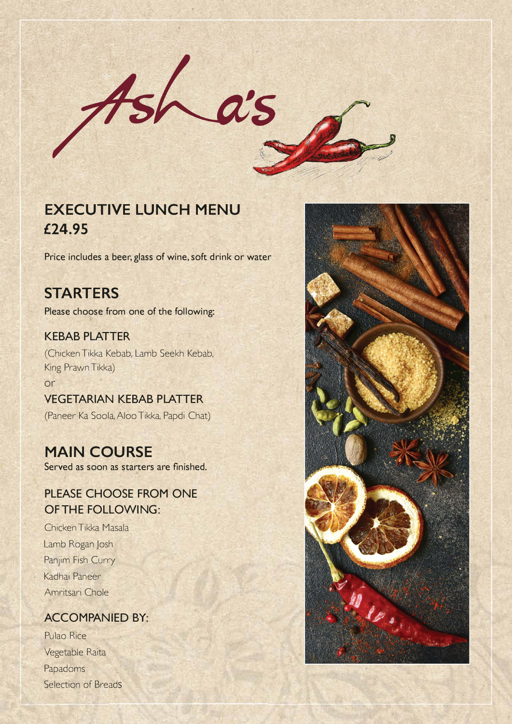

# **EXECUTIVE LUNCH MENU £24.95**

**Price includes a beer, glass of wine,soft drink or water** 

## **STARTERS**

**Please choose from one of the following:** 

### **KEBAB PLATTER**

(ChickenTikka Kebab, Lamb Seekh Kebab, King PrawnTikka) or

# **VEGETARIAN KEBAB PLATTER**

(Paneer Ka Soola, Aloo Tikka, Papdi Chat)

## **MAIN COURSE**

**Served as soon as starters are finished.** 

### **PLEASE CHOOSE FROM ONE OF THE FOLLOWING:**

ChickenTikka Masala Lamb Rogan Josh Panjim Fish Curry Kadhai Paneer Amritsari Chole

### **ACCOMPANIED BY:**

Pulao Rice Vegetable Raita Papadoms Selection of Breads